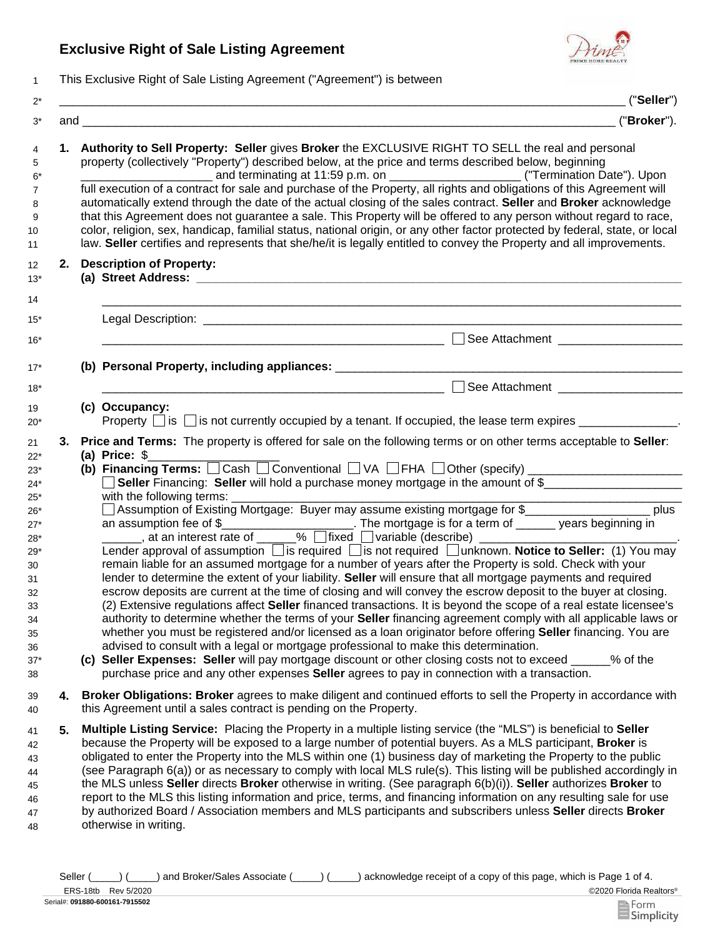## **Exclusive Right of Sale Listing Agreement**



1 This Exclusive Right of Sale Listing Agreement ("Agreement") is between

|    | ("Seller")                                                                                                                                                                                                                                                                                                                                                                                                                                                                                                                                                                                                                                                                                                                                                                                                                                                                                                                                                                                                                                                                                                                                                                                                                                                                                                                                                                                                                                                                                                                                                                                                                             |  |  |
|----|----------------------------------------------------------------------------------------------------------------------------------------------------------------------------------------------------------------------------------------------------------------------------------------------------------------------------------------------------------------------------------------------------------------------------------------------------------------------------------------------------------------------------------------------------------------------------------------------------------------------------------------------------------------------------------------------------------------------------------------------------------------------------------------------------------------------------------------------------------------------------------------------------------------------------------------------------------------------------------------------------------------------------------------------------------------------------------------------------------------------------------------------------------------------------------------------------------------------------------------------------------------------------------------------------------------------------------------------------------------------------------------------------------------------------------------------------------------------------------------------------------------------------------------------------------------------------------------------------------------------------------------|--|--|
|    | ("Broker").                                                                                                                                                                                                                                                                                                                                                                                                                                                                                                                                                                                                                                                                                                                                                                                                                                                                                                                                                                                                                                                                                                                                                                                                                                                                                                                                                                                                                                                                                                                                                                                                                            |  |  |
|    | 1. Authority to Sell Property: Seller gives Broker the EXCLUSIVE RIGHT TO SELL the real and personal<br>property (collectively "Property") described below, at the price and terms described below, beginning<br>full execution of a contract for sale and purchase of the Property, all rights and obligations of this Agreement will<br>automatically extend through the date of the actual closing of the sales contract. Seller and Broker acknowledge<br>that this Agreement does not guarantee a sale. This Property will be offered to any person without regard to race,<br>color, religion, sex, handicap, familial status, national origin, or any other factor protected by federal, state, or local<br>law. Seller certifies and represents that she/he/it is legally entitled to convey the Property and all improvements.                                                                                                                                                                                                                                                                                                                                                                                                                                                                                                                                                                                                                                                                                                                                                                                                |  |  |
|    | 2. Description of Property:                                                                                                                                                                                                                                                                                                                                                                                                                                                                                                                                                                                                                                                                                                                                                                                                                                                                                                                                                                                                                                                                                                                                                                                                                                                                                                                                                                                                                                                                                                                                                                                                            |  |  |
|    |                                                                                                                                                                                                                                                                                                                                                                                                                                                                                                                                                                                                                                                                                                                                                                                                                                                                                                                                                                                                                                                                                                                                                                                                                                                                                                                                                                                                                                                                                                                                                                                                                                        |  |  |
|    | $\Box$<br>See Attachment _____________________                                                                                                                                                                                                                                                                                                                                                                                                                                                                                                                                                                                                                                                                                                                                                                                                                                                                                                                                                                                                                                                                                                                                                                                                                                                                                                                                                                                                                                                                                                                                                                                         |  |  |
|    |                                                                                                                                                                                                                                                                                                                                                                                                                                                                                                                                                                                                                                                                                                                                                                                                                                                                                                                                                                                                                                                                                                                                                                                                                                                                                                                                                                                                                                                                                                                                                                                                                                        |  |  |
|    | See Attachment ____________________<br><u> 1980 - Jan James James Barnett, fransk politik (d. 1980)</u>                                                                                                                                                                                                                                                                                                                                                                                                                                                                                                                                                                                                                                                                                                                                                                                                                                                                                                                                                                                                                                                                                                                                                                                                                                                                                                                                                                                                                                                                                                                                |  |  |
|    | (c) Occupancy:<br>Property $\Box$ is $\Box$ is not currently occupied by a tenant. If occupied, the lease term expires $\Box$                                                                                                                                                                                                                                                                                                                                                                                                                                                                                                                                                                                                                                                                                                                                                                                                                                                                                                                                                                                                                                                                                                                                                                                                                                                                                                                                                                                                                                                                                                          |  |  |
| 3. | Price and Terms: The property is offered for sale on the following terms or on other terms acceptable to Seller:<br>(a) Price: $$$<br>(b) Financing Terms: $\Box$ Cash $\Box$ Conventional $\Box$ VA $\Box$ FHA $\Box$ Other (specify) $\Box$ $\Box$ $\Box$ $\Box$ $\Box$ $\Box$<br>Seller Financing: Seller will hold a purchase money mortgage in the amount of \$<br>□ Assumption of Existing Mortgage: Buyer may assume existing mortgage for \$______________________ plus<br>Lender approval of assumption <i>is</i> required <i>i</i> s not required <i>i</i> unknown. Notice to Seller: (1) You may<br>remain liable for an assumed mortgage for a number of years after the Property is sold. Check with your<br>lender to determine the extent of your liability. Seller will ensure that all mortgage payments and required<br>escrow deposits are current at the time of closing and will convey the escrow deposit to the buyer at closing.<br>(2) Extensive regulations affect Seller financed transactions. It is beyond the scope of a real estate licensee's<br>authority to determine whether the terms of your Seller financing agreement comply with all applicable laws or<br>whether you must be registered and/or licensed as a loan originator before offering <b>Seller</b> financing. You are<br>advised to consult with a legal or mortgage professional to make this determination.<br>(c) Seller Expenses: Seller will pay mortgage discount or other closing costs not to exceed ____<br>% of the<br>purchase price and any other expenses <b>Seller</b> agrees to pay in connection with a transaction. |  |  |
| 4. | Broker Obligations: Broker agrees to make diligent and continued efforts to sell the Property in accordance with<br>this Agreement until a sales contract is pending on the Property.                                                                                                                                                                                                                                                                                                                                                                                                                                                                                                                                                                                                                                                                                                                                                                                                                                                                                                                                                                                                                                                                                                                                                                                                                                                                                                                                                                                                                                                  |  |  |
| 5. | Multiple Listing Service: Placing the Property in a multiple listing service (the "MLS") is beneficial to Seller<br>because the Property will be exposed to a large number of potential buyers. As a MLS participant, <b>Broker</b> is<br>obligated to enter the Property into the MLS within one (1) business day of marketing the Property to the public<br>(see Paragraph 6(a)) or as necessary to comply with local MLS rule(s). This listing will be published accordingly in<br>the MLS unless Seller directs Broker otherwise in writing. (See paragraph 6(b)(i)). Seller authorizes Broker to<br>report to the MLS this listing information and price, terms, and financing information on any resulting sale for use<br>by authorized Board / Association members and MLS participants and subscribers unless Seller directs Broker<br>otherwise in writing.                                                                                                                                                                                                                                                                                                                                                                                                                                                                                                                                                                                                                                                                                                                                                                  |  |  |

©2020 Florida Realtors® ERS-18tb Rev 5/2020 Seller (\_\_\_\_) (\_\_\_\_) and Broker/Sales Associate (\_\_\_\_) (\_\_\_\_) acknowledge receipt of a copy of this page, which is Page 1 of 4.

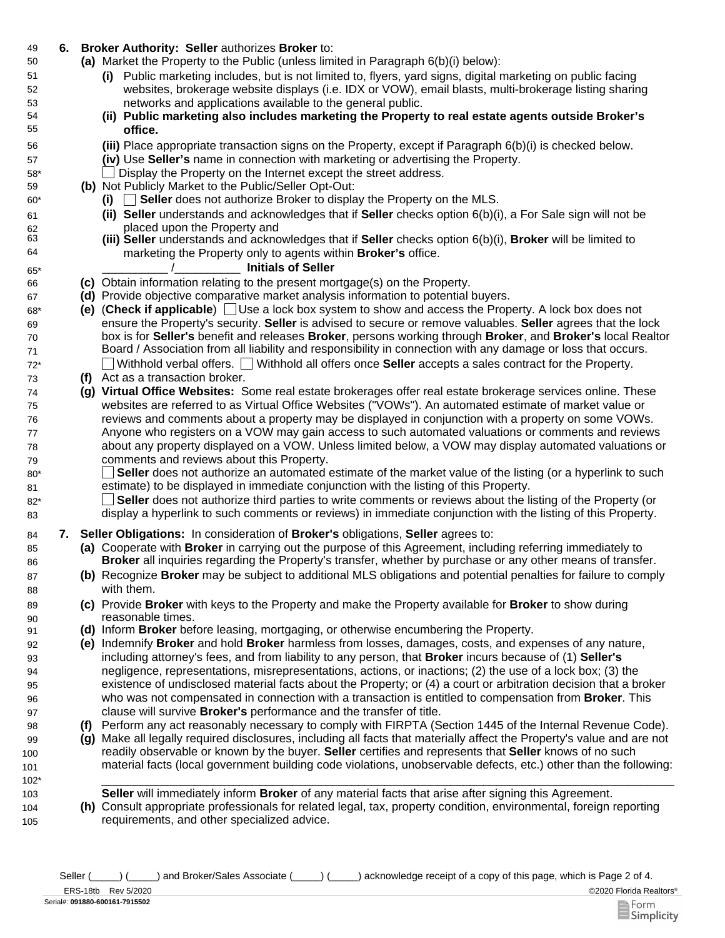## 49 **6. Broker Authority: Seller** authorizes **Broker** to:

- Market the Property to the Public (unless limited in Paragraph 6(b)(i) below): **(a)**
	- **(i)** Public marketing includes, but is not limited to, flyers, yard signs, digital marketing on public facing websites, brokerage website displays (i.e. IDX or VOW), email blasts, multi-brokerage listing sharing networks and applications available to the general public.
	- **(ii) Public marketing also includes marketing the Property to real estate agents outside Broker's office.**
	- Place appropriate transaction signs on the Property, except if Paragraph 6(b)(i) is checked below. **(iii)**
	- **(iv)** Use **Seller's** name in connection with marketing or advertising the Property.
	- \_\_ Display the Property on the Internet except the street address.
- **(b)** Not Publicly Market to the Public/Seller Opt-Out:
	- **(i)** \_\_ **Seller** does not authorize Broker to display the Property on the MLS.
	- **(ii) Seller** understands and acknowledges that if **Seller** checks option 6(b)(i), a For Sale sign will not be placed upon the Property and
	- **(iii) Seller** understands and acknowledges that if **Seller** checks option 6(b)(i), **Broker** will be limited to marketing the Property only to agents within **Broker's** office.

## \_\_\_\_\_\_\_\_\_\_ /\_\_\_\_\_\_\_\_\_\_ **Initials of Seller**

- 66 **(c)** Obtain information relating to the present mortgage(s) on the Property.
- 67 **(d)** Provide objective comparative market analysis information to potential buyers.
- 68\* **(e)** (**Check if applicable**) Use a lock box system to show and access the Property. A lock box does not ensure the Property's security. **Seller** is advised to secure or remove valuables. **Seller** agrees that the lock box is for **Seller's** benefit and releases **Broker**, persons working through **Broker**, and **Broker's** local Realtor Board / Association from all liability and responsibility in connection with any damage or loss that occurs. 72\* Withhold verbal offers. Withhold all offers once **Seller** accepts a sales contract for the Property.
- 73 **(f)** Act as a transaction broker.

69 70 71

50

51 52 53

80\* 81

85 86

87 88

89 90

99 100 101

104 105

- 74 **(g) Virtual Office Websites:** Some real estate brokerages offer real estate brokerage services online. These websites are referred to as Virtual Office Websites ("VOWs"). An automated estimate of market value or reviews and comments about a property may be displayed in conjunction with a property on some VOWs. Anyone who registers on a VOW may gain access to such automated valuations or comments and reviews about any property displayed on a VOW. Unless limited below, a VOW may display automated valuations or comments and reviews about this Property.
	- $\mathbf{L}$ **Seller** does not authorize an automated estimate of the market value of the listing (or a hyperlink to such estimate) to be displayed in immediate conjunction with the listing of this Property.
- **Seller** does not authorize third parties to write comments or reviews about the listing of the Property (or display a hyperlink to such comments or reviews) in immediate conjunction with the listing of this Property. 82\* 83
- 84 **7. Seller Obligations:** In consideration of **Broker's** obligations, **Seller** agrees to:
	- **(a)** Cooperate with **Broker** in carrying out the purpose of this Agreement, including referring immediately to **Broker** all inquiries regarding the Property's transfer, whether by purchase or any other means of transfer.
	- **(b)** Recognize **Broker** may be subject to additional MLS obligations and potential penalties for failure to comply with them.
	- **(c)** Provide **Broker** with keys to the Property and make the Property available for **Broker** to show during reasonable times.
- 91 **(d)** Inform **Broker** before leasing, mortgaging, or otherwise encumbering the Property.
	- **(e)** Indemnify **Broker** and hold **Broker** harmless from losses, damages, costs, and expenses of any nature, including attorney's fees, and from liability to any person, that **Broker** incurs because of (1) **Seller's**  negligence, representations, misrepresentations, actions, or inactions; (2) the use of a lock box; (3) the existence of undisclosed material facts about the Property; or (4) a court or arbitration decision that a broker who was not compensated in connection with a transaction is entitled to compensation from **Broker**. This clause will survive **Broker's** performance and the transfer of title.
- 98 **(f)** Perform any act reasonably necessary to comply with FIRPTA (Section 1445 of the Internal Revenue Code).
	- **(g)** Make all legally required disclosures, including all facts that materially affect the Property's value and are not readily observable or known by the buyer. **Seller** certifies and represents that **Seller** knows of no such material facts (local government building code violations, unobservable defects, etc.) other than the following:
- 102\* \_\_\_\_\_\_\_\_\_\_\_\_\_\_\_\_\_\_\_\_\_\_\_\_\_\_\_\_\_\_\_\_\_\_\_\_\_\_\_\_\_\_\_\_\_\_\_\_\_\_\_\_\_\_\_\_\_\_\_\_\_\_\_\_\_\_\_\_\_\_\_\_\_\_\_\_\_\_\_\_\_\_\_\_\_\_\_ 103 **Seller** will immediately inform **Broker** of any material facts that arise after signing this Agreement.
	- **(h)** Consult appropriate professionals for related legal, tax, property condition, environmental, foreign reporting requirements, and other specialized advice.

Seller (  $\Box$ ) (
and Broker/Sales Associate (  $\Box$ ) acknowledge receipt of a copy of this page, which is Page 2 of 4.

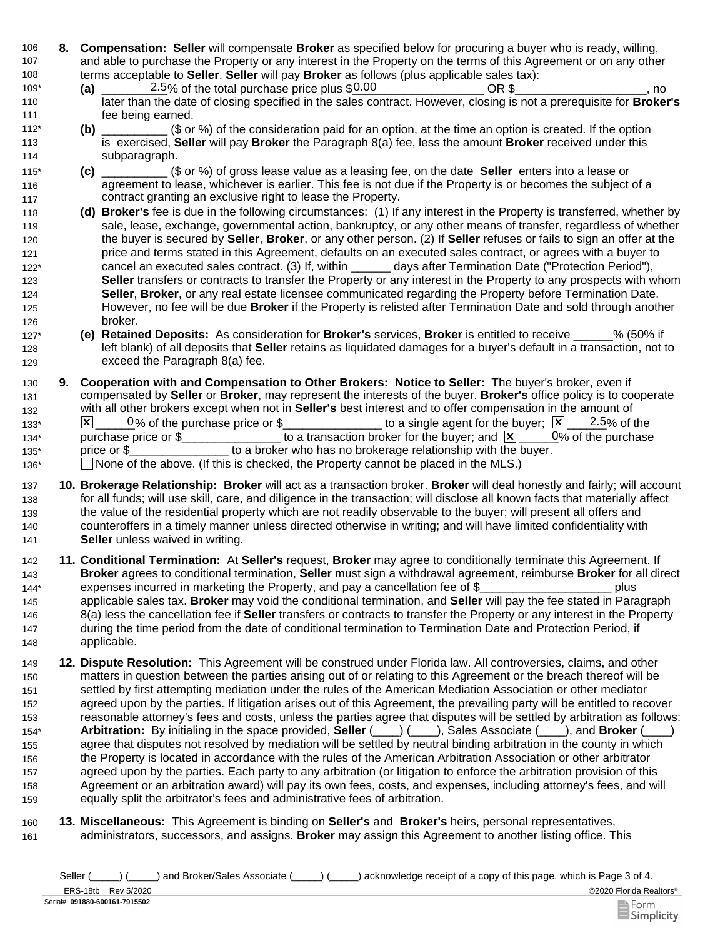- 106 **8. Compensation: Seller** will compensate **Broker** as specified below for procuring a buyer who is ready, willing, 107 108 and able to purchase the Property or any interest in the Property on the terms of this Agreement or on any other terms acceptable to **Seller**. **Seller** will pay **Broker** as follows (plus applicable sales tax):
- $\frac{2.5}{%}$  of the total purchase price plus  $$0.00$   $\degree$  OR \$ $\degree$  \_\_\_\_\_\_\_\_\_\_\_\_\_\_\_\_, no later than the date of closing specified in the sales contract. However, closing is not a prerequisite for **Broker's** fee being earned. 109\* **(a)**  110 111
- **(b)** \_\_\_\_\_\_\_\_\_\_ (\$ or %) of the consideration paid for an option, at the time an option is created. If the option is exercised, **Seller** will pay **Broker** the Paragraph 8(a) fee, less the amount **Broker** received under this subparagraph. 112\* 113 114
- **(c)** \_\_\_\_\_\_\_\_\_\_ (\$ or %) of gross lease value as a leasing fee, on the date **Seller** enters into a lease or agreement to lease, whichever is earlier. This fee is not due if the Property is or becomes the subject of a contract granting an exclusive right to lease the Property. 115\* 116 117
- 118 **(d) Broker's** fee is due in the following circumstances: (1) If any interest in the Property is transferred, whether by 119 120 121 122\* 123 124 125 126 sale, lease, exchange, governmental action, bankruptcy, or any other means of transfer, regardless of whether the buyer is secured by **Seller**, **Broker**, or any other person. (2) If **Seller** refuses or fails to sign an offer at the price and terms stated in this Agreement, defaults on an executed sales contract, or agrees with a buyer to cancel an executed sales contract. (3) If, within \_\_\_\_\_\_ days after Termination Date ("Protection Period"), **Seller** transfers or contracts to transfer the Property or any interest in the Property to any prospects with whom **Seller**, **Broker**, or any real estate licensee communicated regarding the Property before Termination Date. However, no fee will be due **Broker** if the Property is relisted after Termination Date and sold through another broker.
- 127\* **(e) Retained Deposits:** As consideration for **Broker's** services, **Broker** is entitled to receive \_\_\_\_\_\_% (50% if 128 129 left blank) of all deposits that **Seller** retains as liquidated damages for a buyer's default in a transaction, not to exceed the Paragraph 8(a) fee.
- 130 **9.**  131 132  $133^*$   $\times$   $\boxed{\times}$  0% of the purchase price or \$\_\_\_\_\_\_\_\_\_\_\_\_\_\_\_\_\_ to a single agent for the buyer;  $\boxed{\times}$   $\boxed{2.5}$ % of the 134\* purchase price or \$\_\_\_\_\_\_\_\_\_\_\_\_\_\_\_\_\_ to a transaction broker for the buyer; and  $\boxed{\mathbf{X}}$  \_\_\_\_\_0% of the purchase 135\* price or \$\_\_\_\_\_\_\_\_\_\_\_\_\_\_\_\_\_ to a broker who has no brokerage relationship with the buyer. 136\* 
None of the above. (If this is checked, the Property cannot be placed in the MLS.) **Cooperation with and Compensation to Other Brokers: Notice to Seller:** The buyer's broker, even if compensated by **Seller** or **Broker**, may represent the interests of the buyer. **Broker's** office policy is to cooperate with all other brokers except when not in **Seller's** best interest and to offer compensation in the amount of  $0\%$  of the purchase
- 137 **10. Brokerage Relationship: Broker** will act as a transaction broker. **Broker** will deal honestly and fairly; will account 138 139 140 141 for all funds; will use skill, care, and diligence in the transaction; will disclose all known facts that materially affect the value of the residential property which are not readily observable to the buyer; will present all offers and counteroffers in a timely manner unless directed otherwise in writing; and will have limited confidentiality with **Seller** unless waived in writing.
- 142 **11. Conditional Termination:** At **Seller's** request, **Broker** may agree to conditionally terminate this Agreement. If 143 144\* **Broker** agrees to conditional termination, **Seller** must sign a withdrawal agreement, reimburse **Broker** for all direct expenses incurred in marketing the Property, and pay a cancellation fee of \$ plus
- 145 146 147 148 applicable sales tax. **Broker** may void the conditional termination, and **Seller** will pay the fee stated in Paragraph 8(a) less the cancellation fee if **Seller** transfers or contracts to transfer the Property or any interest in the Property during the time period from the date of conditional termination to Termination Date and Protection Period, if applicable.
- 149 **12. Dispute Resolution:** This Agreement will be construed under Florida law. All controversies, claims, and other 150 151 152 153 154\* 155 156 157 158 159 matters in question between the parties arising out of or relating to this Agreement or the breach thereof will be settled by first attempting mediation under the rules of the American Mediation Association or other mediator agreed upon by the parties. If litigation arises out of this Agreement, the prevailing party will be entitled to recover reasonable attorney's fees and costs, unless the parties agree that disputes will be settled by arbitration as follows: **Arbitration:** By initialing in the space provided, **Seller** (\_\_\_\_) (\_\_\_\_), Sales Associate (\_\_\_\_), and **Broker** (\_\_\_\_) agree that disputes not resolved by mediation will be settled by neutral binding arbitration in the county in which the Property is located in accordance with the rules of the American Arbitration Association or other arbitrator agreed upon by the parties. Each party to any arbitration (or litigation to enforce the arbitration provision of this Agreement or an arbitration award) will pay its own fees, costs, and expenses, including attorney's fees, and will equally split the arbitrator's fees and administrative fees of arbitration.
- 161 160 **Miscellaneous:** This Agreement is binding on **Seller's** and **Broker's** heirs, personal representatives, **13.**administrators, successors, and assigns. **Broker** may assign this Agreement to another listing office. This